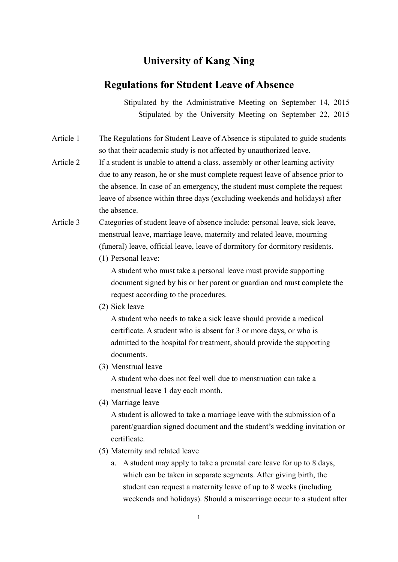## University of Kang Ning

## Regulations for Student Leave of Absence

Stipulated by the Administrative Meeting on September 14, 2015 Stipulated by the University Meeting on September 22, 2015

- Article 1 The Regulations for Student Leave of Absence is stipulated to guide students so that their academic study is not affected by unauthorized leave.
- Article 2 If a student is unable to attend a class, assembly or other learning activity due to any reason, he or she must complete request leave of absence prior to the absence. In case of an emergency, the student must complete the request leave of absence within three days (excluding weekends and holidays) after the absence.
- Article 3 Categories of student leave of absence include: personal leave, sick leave, menstrual leave, marriage leave, maternity and related leave, mourning (funeral) leave, official leave, leave of dormitory for dormitory residents.
	- (1) Personal leave:

A student who must take a personal leave must provide supporting document signed by his or her parent or guardian and must complete the request according to the procedures.

(2) Sick leave

A student who needs to take a sick leave should provide a medical certificate. A student who is absent for 3 or more days, or who is admitted to the hospital for treatment, should provide the supporting documents.

(3) Menstrual leave

A student who does not feel well due to menstruation can take a menstrual leave 1 day each month.

(4) Marriage leave

A student is allowed to take a marriage leave with the submission of a parent/guardian signed document and the student's wedding invitation or certificate.

- (5) Maternity and related leave
	- a. A student may apply to take a prenatal care leave for up to 8 days, which can be taken in separate segments. After giving birth, the student can request a maternity leave of up to 8 weeks (including weekends and holidays). Should a miscarriage occur to a student after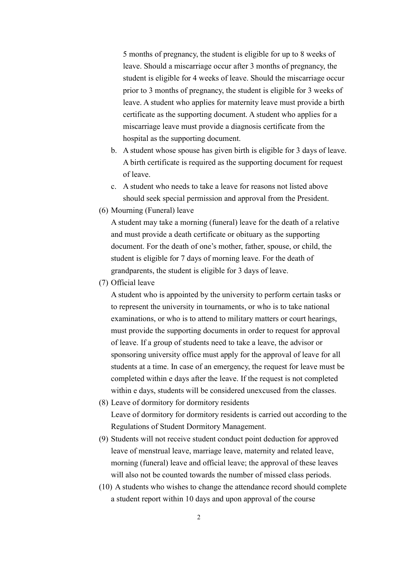5 months of pregnancy, the student is eligible for up to 8 weeks of leave. Should a miscarriage occur after 3 months of pregnancy, the student is eligible for 4 weeks of leave. Should the miscarriage occur prior to 3 months of pregnancy, the student is eligible for 3 weeks of leave. A student who applies for maternity leave must provide a birth certificate as the supporting document. A student who applies for a miscarriage leave must provide a diagnosis certificate from the hospital as the supporting document.

- b. A student whose spouse has given birth is eligible for 3 days of leave. A birth certificate is required as the supporting document for request of leave.
- c. A student who needs to take a leave for reasons not listed above should seek special permission and approval from the President.
- (6) Mourning (Funeral) leave

A student may take a morning (funeral) leave for the death of a relative and must provide a death certificate or obituary as the supporting document. For the death of one's mother, father, spouse, or child, the student is eligible for 7 days of morning leave. For the death of grandparents, the student is eligible for 3 days of leave.

(7) Official leave

A student who is appointed by the university to perform certain tasks or to represent the university in tournaments, or who is to take national examinations, or who is to attend to military matters or court hearings, must provide the supporting documents in order to request for approval of leave. If a group of students need to take a leave, the advisor or sponsoring university office must apply for the approval of leave for all students at a time. In case of an emergency, the request for leave must be completed within e days after the leave. If the request is not completed within e days, students will be considered unexcused from the classes.

- (8) Leave of dormitory for dormitory residents Leave of dormitory for dormitory residents is carried out according to the Regulations of Student Dormitory Management.
- (9) Students will not receive student conduct point deduction for approved leave of menstrual leave, marriage leave, maternity and related leave, morning (funeral) leave and official leave; the approval of these leaves will also not be counted towards the number of missed class periods.
- (10) A students who wishes to change the attendance record should complete a student report within 10 days and upon approval of the course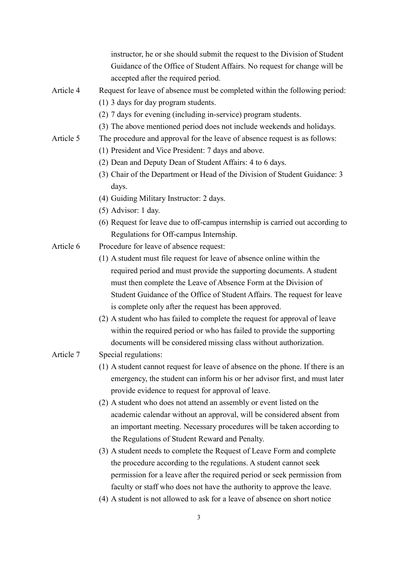3 instructor, he or she should submit the request to the Division of Student Guidance of the Office of Student Affairs. No request for change will be accepted after the required period. Article 4 Request for leave of absence must be completed within the following period: (1) 3 days for day program students. (2) 7 days for evening (including in-service) program students. (3) The above mentioned period does not include weekends and holidays. Article 5 The procedure and approval for the leave of absence request is as follows: (1) President and Vice President: 7 days and above. (2) Dean and Deputy Dean of Student Affairs: 4 to 6 days. (3) Chair of the Department or Head of the Division of Student Guidance: 3 days. (4) Guiding Military Instructor: 2 days. (5) Advisor: 1 day. (6) Request for leave due to off-campus internship is carried out according to Regulations for Off-campus Internship. Article 6 Procedure for leave of absence request: (1) A student must file request for leave of absence online within the required period and must provide the supporting documents. A student must then complete the Leave of Absence Form at the Division of Student Guidance of the Office of Student Affairs. The request for leave is complete only after the request has been approved. (2) A student who has failed to complete the request for approval of leave within the required period or who has failed to provide the supporting documents will be considered missing class without authorization. Article 7 Special regulations: (1) A student cannot request for leave of absence on the phone. If there is an emergency, the student can inform his or her advisor first, and must later provide evidence to request for approval of leave. (2) A student who does not attend an assembly or event listed on the academic calendar without an approval, will be considered absent from an important meeting. Necessary procedures will be taken according to the Regulations of Student Reward and Penalty. (3) A student needs to complete the Request of Leave Form and complete the procedure according to the regulations. A student cannot seek permission for a leave after the required period or seek permission from faculty or staff who does not have the authority to approve the leave. (4) A student is not allowed to ask for a leave of absence on short notice